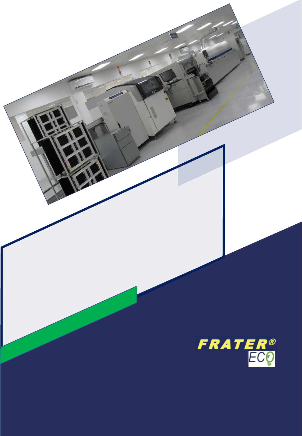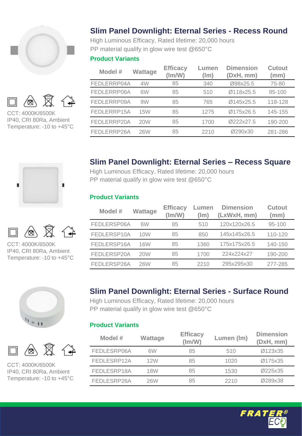



IP40, CRI 80Ra, Ambient Temperature: -10 to +45°C





CCT: 4000K/6500K IP40, CRI 80Ra, Ambient Temperature: -10 to +45°C





CCT: 4000K/6500K IP40, CRI 80Ra, Ambient Temperature: -10 to +45°C

# **Slim Panel Downlight: Eternal Series - Recess Round**

High Luminous Efficacy, Rated lifetime: 20,000 hours PP material qualify in glow wire test @650°C

### **Product Variants**

| Model #     | <b>Wattage</b>  | <b>Efficacy</b><br>$\text{Im}/\text{W}$ | Lumen<br>(lm) | <b>Dimension</b><br>(DxH, mm) | <b>Cutout</b><br>(mm) |
|-------------|-----------------|-----------------------------------------|---------------|-------------------------------|-----------------------|
| FEDLERRP04A | 4W              | 85                                      | 340           | Ø98x25.5                      | 75-80                 |
| FEDLERRP06A | 6W              | 85                                      | 510           | Ø118x25.5                     | 95-100                |
| FEDLERRP09A | 9W              | 85                                      | 765           | Ø145x25.5                     | 118-128               |
| FEDLERRP15A | 15 <sub>W</sub> | 85                                      | 1275          | Ø175x26.5                     | 145-155               |
| FEDLERRP20A | 20W             | 85                                      | 1700          | Ø222x27.5                     | 190-200               |
| FEDLERRP26A | 26W             | 85                                      | 2210          | Ø290x30                       | 281-286               |

# **Slim Panel Downlight: Eternal Series – Recess Square**

High Luminous Efficacy, Rated lifetime: 20,000 hours PP material qualify in glow wire test @650°C

### **Product Variants**

| Model #     | Wattage    | <b>Efficacy</b><br>$\text{Im}/\text{W}$ | Lumen<br>(lm) | <b>Dimension</b><br>(LxWxH, mm) | <b>Cutout</b><br>(mm) |
|-------------|------------|-----------------------------------------|---------------|---------------------------------|-----------------------|
| FEDLERSP06A | 6W         | 85                                      | 510           | 120x120x26.5                    | 95-100                |
| FEDLERSP10A | 10W        | 85                                      | 850           | 145x145x26.5                    | 110-120               |
| FEDLERSP16A | 16W        | 85                                      | 1360          | 175x175x26.5                    | 140-150               |
| FEDLERSP20A | <b>20W</b> | 85                                      | 1700          | 224x224x27                      | 190-200               |
| FEDLERSP26A | 26W        | 85                                      | 2210          | 295x295x30                      | 277-285               |

# **Slim Panel Downlight: Eternal Series - Surface Round**

High Luminous Efficacy, Rated lifetime: 20,000 hours PP material qualify in glow wire test @650°C

### **Product Variants**

| Model #     | Wattage | <b>Efficacy</b><br>(lm/W) | Lumen (Im) | <b>Dimension</b><br>(DxH, mm) |
|-------------|---------|---------------------------|------------|-------------------------------|
| FEDLESRP06A | 6W      | 85                        | 510        | Ø123x35                       |
| FEDLESRP12A | 12W     | 85                        | 1020       | Ø175x35                       |
| FEDLESRP18A | 18W     | 85                        | 1530       | Ø225x35                       |
| FEDLESRP26A | 26W     | 85                        | 2210       | Ø289x38                       |

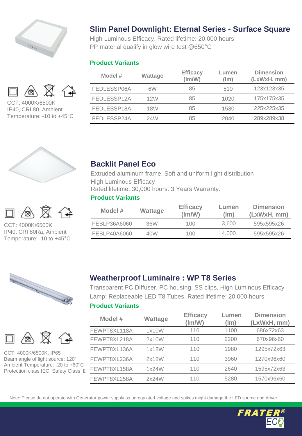

# ∕⊗

CCT: 4000K/6500K IP40, CRI 80, Ambient Temperature: -10 to +45°C





CCT: 4000K/6500K IP40, CRI 80Ra, Ambient Temperature: -10 to +45°C





CCT: 4000K/6500K, IP65 Beam angle of light source: 120° Ambient Temperature: -20 to +60°C Protection class IEC: Safety Class Ⅱ

# **Slim Panel Downlight: Eternal Series - Surface Square**

High Luminous Efficacy, Rated lifetime: 20,000 hours PP material qualify in glow wire test @650°C

### **Product Variants**

| Model #     | Wattage | <b>Efficacy</b><br>(lm/W) | Lumen<br>(lm) | <b>Dimension</b><br>(LxWxH, mm) |
|-------------|---------|---------------------------|---------------|---------------------------------|
| FEDLESSP06A | 6W      | 85                        | 510           | 123x123x35                      |
| FEDLESSP12A | 12W     | 85                        | 1020          | 175x175x35                      |
| FEDLESSP18A | 18W     | 85                        | 1530          | 225x225x35                      |
| FEDLESSP24A | 24W     | 85                        | 2040          | 289x289x38                      |



Extruded aluminum frame, Soft and uniform light distribution High Luminous Efficacy Rated lifetime: 30,000 hours. 3 Years Warranty.

### **Product Variants**

| Model #      | Wattage | <b>Efficacy</b><br>(lm/W) | Lumen<br>(lm) | <b>Dimension</b><br>(LxWxH, mm) |
|--------------|---------|---------------------------|---------------|---------------------------------|
| FEBLP36A6060 | 36W     | 100                       | 3.600         | 595x595x26                      |
| FEBLP40A6060 | 40W     | 100                       | 4.000         | 595x595x26                      |

# **Weatherproof Luminaire : WP T8 Series**

Transparent PC Diffuser, PC housing, SS clips, High Luminous Efficacy Lamp: Replaceable LED T8 Tubes, Rated lifetime: 20,000 hours

### **Product Variants**

| Model #      | Wattage | <b>Efficacy</b><br>(lm/W) | Lumen<br>(lm) | <b>Dimension</b><br>(LxWxH, mm) |
|--------------|---------|---------------------------|---------------|---------------------------------|
| FEWPT8XL118A | 1x10W   | 110                       | 1100          | 686x72x63                       |
| FEWPT8XL218A | 2x10W   | 110                       | 2200          | 670x96x60                       |
| FEWPT8XL136A | 1x18W   | 110                       | 1980          | 1295x72x63                      |
| FEWPT8XL236A | 2x18W   | 110                       | 3960          | 1270x96x60                      |
| FEWPT8XL158A | 1x24W   | 110                       | 2640          | 1595x72x63                      |
| FEWPT8XL258A | 2x24W   | 110                       | 5280          | 1570x96x60                      |

Note: Please do not operate with Generator power supply as unregulated voltage and spikes might damage the LED source and driver.